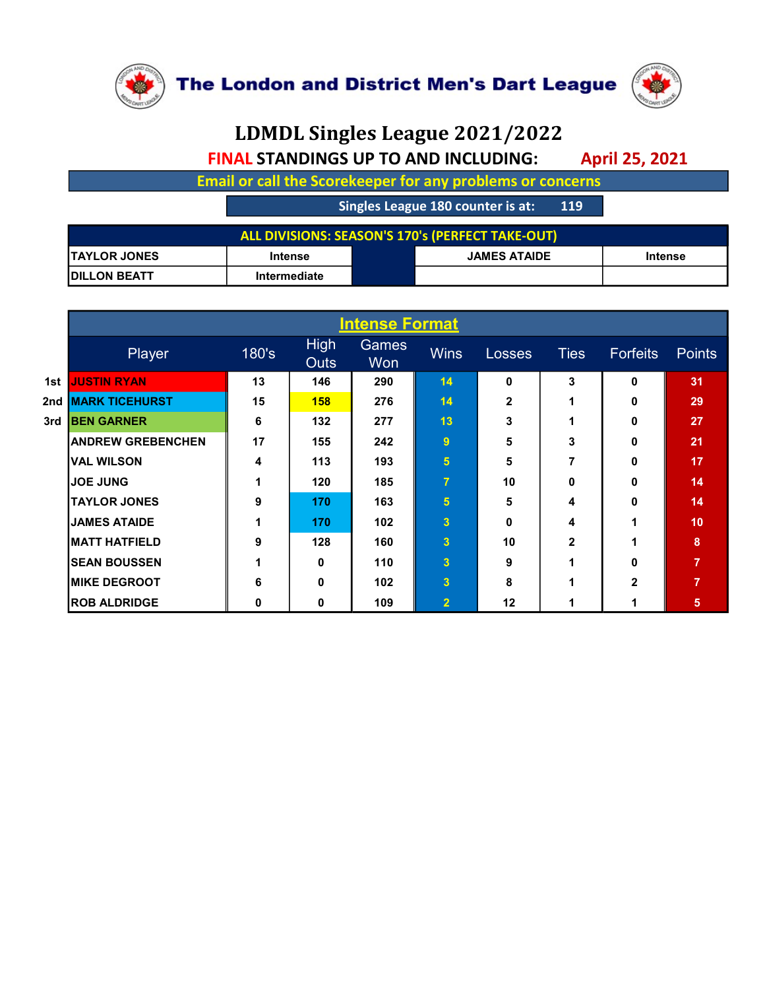

## LDMDL Singles League 2021/2022 FINAL STANDINGS UP TO AND INCLUDING: April 25, 2021

|                     |                                             |                       | <b>The London and District Men's Dart League</b>                  |                                  |
|---------------------|---------------------------------------------|-----------------------|-------------------------------------------------------------------|----------------------------------|
|                     |                                             |                       | LDMDL Singles League 2021/2022                                    |                                  |
|                     | <b>FINAL STANDINGS UP TO AND INCLUDING:</b> |                       |                                                                   | <b>April 25, 2021</b>            |
|                     |                                             |                       | <b>Email or call the Scorekeeper for any problems or concerns</b> |                                  |
|                     |                                             |                       | Singles League 180 counter is at:<br><b>119</b>                   |                                  |
|                     |                                             |                       | <b>ALL DIVISIONS: SEASON'S 170's (PERFECT TAKE-OUT)</b>           |                                  |
| <b>TAYLOR JONES</b> | <b>Intense</b>                              |                       | <b>JAMES ATAIDE</b>                                               | <b>Intense</b>                   |
| <b>DILLON BEATT</b> | Intermediate                                |                       |                                                                   |                                  |
|                     |                                             |                       |                                                                   |                                  |
|                     |                                             | <b>Intense Format</b> |                                                                   |                                  |
|                     | <b>High</b><br>180's                        | <b>Games</b>          | <b>Wins</b><br>Ties                                               | <b>Points</b><br><b>Forfeits</b> |

|                       |                                  |             |                                                 |              |                     | LDMDL Singles League 2021/2022                                    |             |                       |                |  |  |  |  |
|-----------------------|----------------------------------|-------------|-------------------------------------------------|--------------|---------------------|-------------------------------------------------------------------|-------------|-----------------------|----------------|--|--|--|--|
|                       |                                  |             |                                                 |              |                     | <b>FINAL STANDINGS UP TO AND INCLUDING:</b>                       |             | <b>April 25, 2021</b> |                |  |  |  |  |
|                       |                                  |             |                                                 |              |                     | <b>Email or call the Scorekeeper for any problems or concerns</b> |             |                       |                |  |  |  |  |
|                       |                                  |             | Singles League 180 counter is at:<br><b>119</b> |              |                     |                                                                   |             |                       |                |  |  |  |  |
|                       |                                  |             |                                                 |              |                     | ALL DIVISIONS: SEASON'S 170's (PERFECT TAKE-OUT)                  |             |                       |                |  |  |  |  |
|                       | <b>TAYLOR JONES</b>              |             | <b>Intense</b>                                  |              | <b>JAMES ATAIDE</b> |                                                                   |             | <b>Intense</b>        |                |  |  |  |  |
|                       | <b>DILLON BEATT</b>              |             | Intermediate                                    |              |                     |                                                                   |             |                       |                |  |  |  |  |
|                       |                                  |             |                                                 |              |                     |                                                                   |             |                       |                |  |  |  |  |
| <b>Intense Format</b> |                                  |             |                                                 |              |                     |                                                                   |             |                       |                |  |  |  |  |
|                       | Player                           | 180's       | <b>High</b><br><b>Outs</b>                      | Games<br>Won | <b>Wins</b>         | Losses                                                            | <b>Ties</b> | Forfeits              | <b>Points</b>  |  |  |  |  |
|                       | 1st JUSTIN RYAN                  | 13          | 146                                             | 290          | 14                  | 0                                                                 | 3           | 0                     | 31             |  |  |  |  |
|                       | 2nd <mark> MARK TICEHURST</mark> | 15          | 158                                             | 276          | 14                  | $\mathbf{2}$                                                      | 1           | 0                     | 29             |  |  |  |  |
|                       | 3rd BEN GARNER                   | 6           | 132                                             | 277          | 13                  | 3                                                                 | 1           | 0                     | 27             |  |  |  |  |
|                       | <b>ANDREW GREBENCHEN</b>         | 17          | 155                                             | 242          | 9 <sup>°</sup>      | 5                                                                 | 3           | 0                     | 21             |  |  |  |  |
|                       | <b>VAL WILSON</b>                | 4           | 113                                             | 193          | 5 <sup>1</sup>      | 5                                                                 | 7           | 0                     | 17             |  |  |  |  |
|                       | <b>JOE JUNG</b>                  | $\mathbf 1$ | 120                                             | 185          | $\overline{7}$      | 10                                                                | 0           | 0                     | 14             |  |  |  |  |
|                       | <b>TAYLOR JONES</b>              | 9           | 170                                             | 163          | 5 <sup>1</sup>      | 5                                                                 | 4           | 0                     | 14             |  |  |  |  |
|                       | <b>JAMES ATAIDE</b>              | $\mathbf 1$ | 170                                             | 102          | 3 <sup>1</sup>      | 0                                                                 | 4           | 1                     | 10             |  |  |  |  |
|                       | <b>MATT HATFIELD</b>             | 9           | 128                                             | 160          | 3 <sup>1</sup>      | 10                                                                | 2           | 1                     | 8              |  |  |  |  |
|                       | <b>SEAN BOUSSEN</b>              | 1           | 0                                               | 110          | 3 <sup>1</sup>      | 9                                                                 | 1           | 0                     | $\overline{7}$ |  |  |  |  |
|                       | <b>MIKE DEGROOT</b>              | 6           | 0                                               | 102          | 3 <sup>1</sup>      | 8                                                                 | 1           | $\mathbf{2}$          | $\overline{7}$ |  |  |  |  |
|                       | <b>ROB ALDRIDGE</b>              | $\mathbf 0$ | $\mathbf 0$                                     | 109          | 2 <sub>1</sub>      | 12                                                                | $\mathbf 1$ | $\mathbf{1}$          | 5 <sub>1</sub> |  |  |  |  |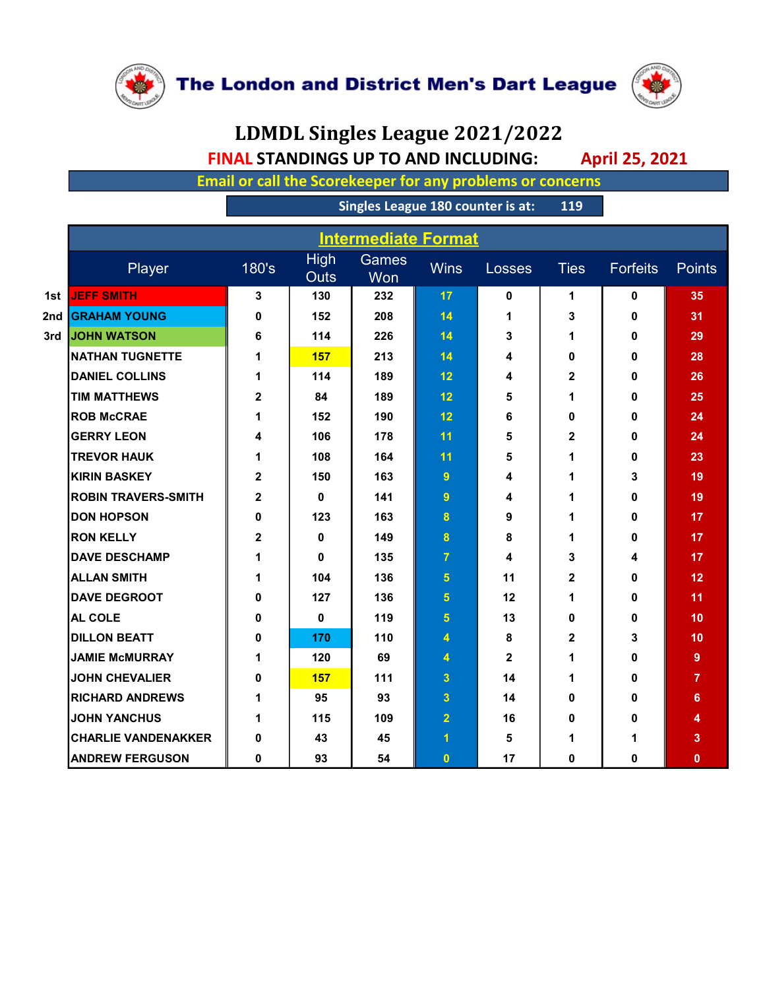

## LDMDL Singles League 2021/2022 FINAL STANDINGS UP TO AND INCLUDING: April 25, 2021

|                                                                                                                                    | LDMDL Singles League 2021/2022           |                            |              |                      |              |              |             |                 |  |  |  |  |
|------------------------------------------------------------------------------------------------------------------------------------|------------------------------------------|----------------------------|--------------|----------------------|--------------|--------------|-------------|-----------------|--|--|--|--|
| <b>FINAL STANDINGS UP TO AND INCLUDING:</b><br><b>April 25, 2021</b><br>Email or call the Scorekeeper for any problems or concerns |                                          |                            |              |                      |              |              |             |                 |  |  |  |  |
|                                                                                                                                    |                                          |                            |              |                      |              |              |             |                 |  |  |  |  |
|                                                                                                                                    | Singles League 180 counter is at:<br>119 |                            |              |                      |              |              |             |                 |  |  |  |  |
|                                                                                                                                    | <b>Intermediate Format</b>               |                            |              |                      |              |              |             |                 |  |  |  |  |
| Player                                                                                                                             | 180's                                    | <b>High</b><br><b>Outs</b> | Games<br>Won | <b>Wins</b>          | Losses       | <b>Ties</b>  | Forfeits    | <b>Points</b>   |  |  |  |  |
| 1st JEFF SMITH                                                                                                                     | 3                                        | 130                        | 232          | 17                   | 0            | 1            | $\mathbf 0$ | 35              |  |  |  |  |
| 2nd GRAHAM YOUNG                                                                                                                   | $\mathbf 0$                              | 152                        | 208          | 14                   | $\mathbf 1$  | 3            | $\mathbf 0$ | 31              |  |  |  |  |
| 3rd JOHN WATSON                                                                                                                    | 6                                        | 114                        | 226          | 14                   | 3            | 1            | $\mathbf 0$ | 29              |  |  |  |  |
| <b>NATHAN TUGNETTE</b>                                                                                                             | $\mathbf 1$                              | <b>157</b>                 | 213          | 14                   | 4            | 0            | 0           | 28              |  |  |  |  |
| <b>DANIEL COLLINS</b>                                                                                                              | $\mathbf 1$                              | 114                        | 189          | 12                   | 4            | $\mathbf{2}$ | $\mathbf 0$ | 26              |  |  |  |  |
| <b>TIM MATTHEWS</b>                                                                                                                | $\mathbf{2}$                             | 84                         | 189          | 12                   | 5            | 1            | 0           | 25              |  |  |  |  |
| <b>ROB McCRAE</b>                                                                                                                  | $\mathbf 1$                              | 152                        | 190          | 12                   | 6            | 0            | 0           | 24              |  |  |  |  |
| <b>GERRY LEON</b>                                                                                                                  | 4                                        | 106                        | 178          | 11                   | 5            | $\mathbf{2}$ | $\mathbf 0$ | 24              |  |  |  |  |
| <b>TREVOR HAUK</b>                                                                                                                 | $\mathbf 1$                              | 108                        | 164          | 11                   | 5            | 1            | 0           | 23              |  |  |  |  |
| <b>KIRIN BASKEY</b>                                                                                                                | $\mathbf{2}$                             | 150                        | 163          | 9                    | 4            | 1            | 3           | 19              |  |  |  |  |
| <b>ROBIN TRAVERS-SMITH</b>                                                                                                         | $\mathbf{2}$                             | 0                          | 141          | $9^{\circ}$          | 4            | 1            | 0           | 19              |  |  |  |  |
| <b>DON HOPSON</b>                                                                                                                  | 0                                        | 123                        | 163          | 8 <sup>°</sup>       | 9            | $\mathbf 1$  | 0           | 17 <sub>2</sub> |  |  |  |  |
| <b>RON KELLY</b>                                                                                                                   | $\mathbf 2$                              | 0                          | 149          | 8                    | 8            | 1            | 0           | 17              |  |  |  |  |
| <b>DAVE DESCHAMP</b>                                                                                                               | $\mathbf 1$                              | 0                          | 135          | $\overline{7}$       | 4            | 3            | 4           | 17              |  |  |  |  |
| <b>ALLAN SMITH</b>                                                                                                                 | $\mathbf 1$                              | 104                        | 136          | 5 <sup>1</sup>       | 11           | $\mathbf{2}$ | 0           | 12              |  |  |  |  |
| <b>DAVE DEGROOT</b>                                                                                                                | 0                                        | 127                        | 136          | 5 <sup>1</sup>       | 12           | 1            | 0           | 11 <sub>1</sub> |  |  |  |  |
| <b>AL COLE</b>                                                                                                                     | 0                                        | $\mathbf 0$                | 119          | 5 <sup>1</sup>       | 13           | 0            | 0           | 10              |  |  |  |  |
| <b>DILLON BEATT</b>                                                                                                                | 0                                        | 170                        | 110          | 4                    | 8            | $\mathbf{2}$ | 3           | 10              |  |  |  |  |
| <b>JAMIE McMURRAY</b>                                                                                                              | $\mathbf 1$                              | 120                        | 69           | 4                    | $\mathbf{2}$ | 1            | 0           | $9^{\circ}$     |  |  |  |  |
| <b>JOHN CHEVALIER</b>                                                                                                              | 0                                        | 157                        | 111          | 3 <sup>°</sup>       | 14           | 1            | 0           | $\overline{7}$  |  |  |  |  |
| <b>RICHARD ANDREWS</b>                                                                                                             | $\mathbf 1$                              | 95                         | 93           | 3 <sup>1</sup>       | 14           | 0            | 0           | 6               |  |  |  |  |
| <b>JOHN YANCHUS</b>                                                                                                                | $\mathbf 1$                              | 115                        | 109          | 2 <sub>1</sub>       | 16           | 0            | 0           | 4               |  |  |  |  |
| <b>CHARLIE VANDENAKKER</b>                                                                                                         | 0                                        | 43                         | 45           | $\blacktriangleleft$ | 5            | 1            | $\mathbf 1$ | $\mathbf{3}$    |  |  |  |  |
| <b>ANDREW FERGUSON</b>                                                                                                             | $\mathbf 0$                              | 93                         | 54           | $\bullet$            | 17           | $\mathbf 0$  | $\mathbf 0$ | $\mathbf{0}$    |  |  |  |  |